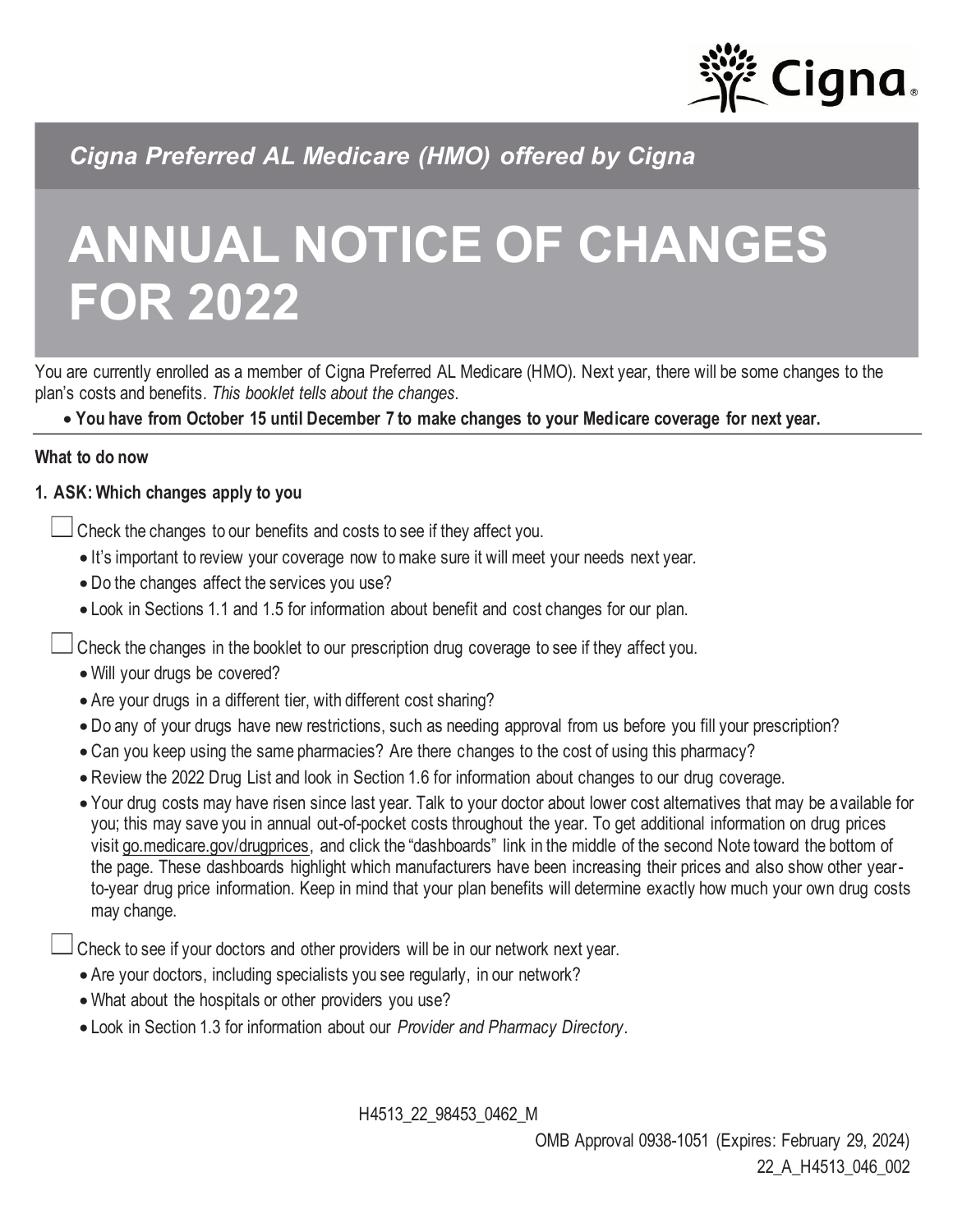

*Cigna Preferred AL Medicare (HMO) offered by Cigna*

# **ANNUAL NOTICE OF CHANGES FOR 2022**

You are currently enrolled as a member of Cigna Preferred AL Medicare (HMO). Next year, there will be some changes to the plan's costs and benefits. *This booklet tells about the changes.*

• **You have from October 15 until December 7 to make changes to your Medicare coverage for next year.**

#### **What to do now**

## **1. ASK: Which changes apply to you**

Check the changes to our benefits and costs to see if they affect you.

- It's important to review your coverage now to make sure it will meet your needs next year.
- Do the changes affect the services you use?
- Look in Sections 1.1 and 1.5 for information about benefit and cost changes for our plan.

Check the changes in the booklet to our prescription drug coverage to see if they affect you.

- Will your drugs be covered?
- Are your drugs in a different tier, with different cost sharing?
- Do any of your drugs have new restrictions, such as needing approval from us before you fill your prescription?
- Can you keep using the same pharmacies? Are there changes to the cost of using this pharmacy?
- Review the 2022 Drug List and look in Section 1.6 for information about changes to our drug coverage.
- Your drug costs may have risen since last year. Talk to your doctor about lower cost alternatives that may be available for you; this may save you in annual out-of-pocket costs throughout the year. To get additional information on drug prices visit [go.medicare.gov/drugprices,](https://go.medicare.gov/drugprices) and click the "dashboards" link in the middle of the second Note toward the bottom of the page. These dashboards highlight which manufacturers have been increasing their prices and also show other yearto-year drug price information. Keep in mind that your plan benefits will determine exactly how much your own drug costs may change.

Check to see if your doctors and other providers will be in our network next year.

- Are your doctors, including specialists you see regularly, in our network?
- What about the hospitals or other providers you use?
- Look in Section 1.3 for information about our *Provider and Pharmacy Directory*.

H4513\_22\_98453\_0462\_M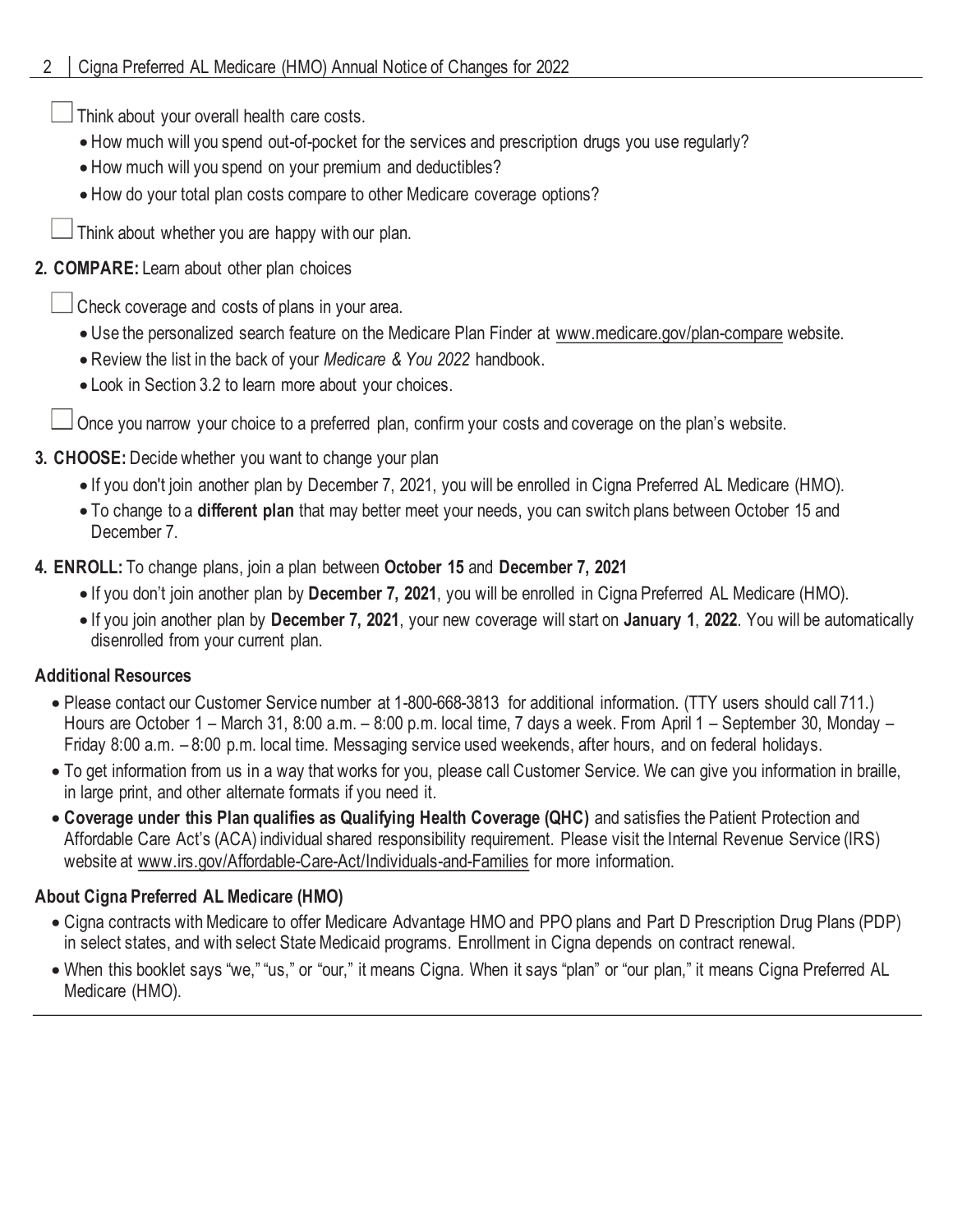Think about your overall health care costs.

- How much will you spend out-of-pocket for the services and prescription drugs you use regularly?
- How much will you spend on your premium and deductibles?
- How do your total plan costs compare to other Medicare coverage options?

Think about whether you are happy with our plan.

## **2. COMPARE:** Learn about other plan choices

Check coverage and costs of plans in your area.

- Use the personalized search feature on the Medicare Plan Finder at www.medicare.gov/plan-compare website.
- Review the list in the back of your *Medicare & You 2022* handbook.
- Look in Section 3.2 to learn more about your choices.

Once you narrow your choice to a preferred plan, confirm your costs and coverage on the plan's website.

## **3. CHOOSE:** Decide whether you want to change your plan

- If you don't join another plan by December 7, 2021, you will be enrolled in Cigna Preferred AL Medicare (HMO).
- To change to a **different plan** that may better meet your needs, you can switch plans between October 15 and December 7.

## **4. ENROLL:** To change plans, join a plan between **October 15** and **December 7, 2021**

- If you don't join another plan by **December 7, 2021**, you will be enrolled in Cigna Preferred AL Medicare (HMO).
- If you join another plan by **December 7, 2021**, your new coverage will start on **January 1**, **2022**. You will be automatically disenrolled from your current plan.

## **Additional Resources**

- Please contact our Customer Service number at 1-800-668-3813 for additional information. (TTY users should call 711.) Hours are October 1 – March 31, 8:00 a.m. – 8:00 p.m. local time, 7 days a week. From April 1 – September 30, Monday – Friday 8:00 a.m. – 8:00 p.m. local time. Messaging service used weekends, after hours, and on federal holidays.
- To get information from us in a way that works for you, please call Customer Service. We can give you information in braille, in large print, and other alternate formats if you need it.
- **Coverage under this Plan qualifies as Qualifying Health Coverage (QHC)** and satisfies the Patient Protection and Affordable Care Act's (ACA) individual shared responsibility requirement. Please visit the Internal Revenue Service (IRS) website at www.irs.gov/Affordable-Care-Act/Individuals-and-Families for more information.

## **About Cigna Preferred AL Medicare (HMO)**

- Cigna contracts with Medicare to offer Medicare Advantage HMO and PPO plans and Part D Prescription Drug Plans (PDP) in select states, and with select State Medicaid programs. Enrollment in Cigna depends on contract renewal.
- When this booklet says "we," "us," or "our," it means Cigna*.* When it says "plan" or "our plan," it means Cigna Preferred AL Medicare (HMO).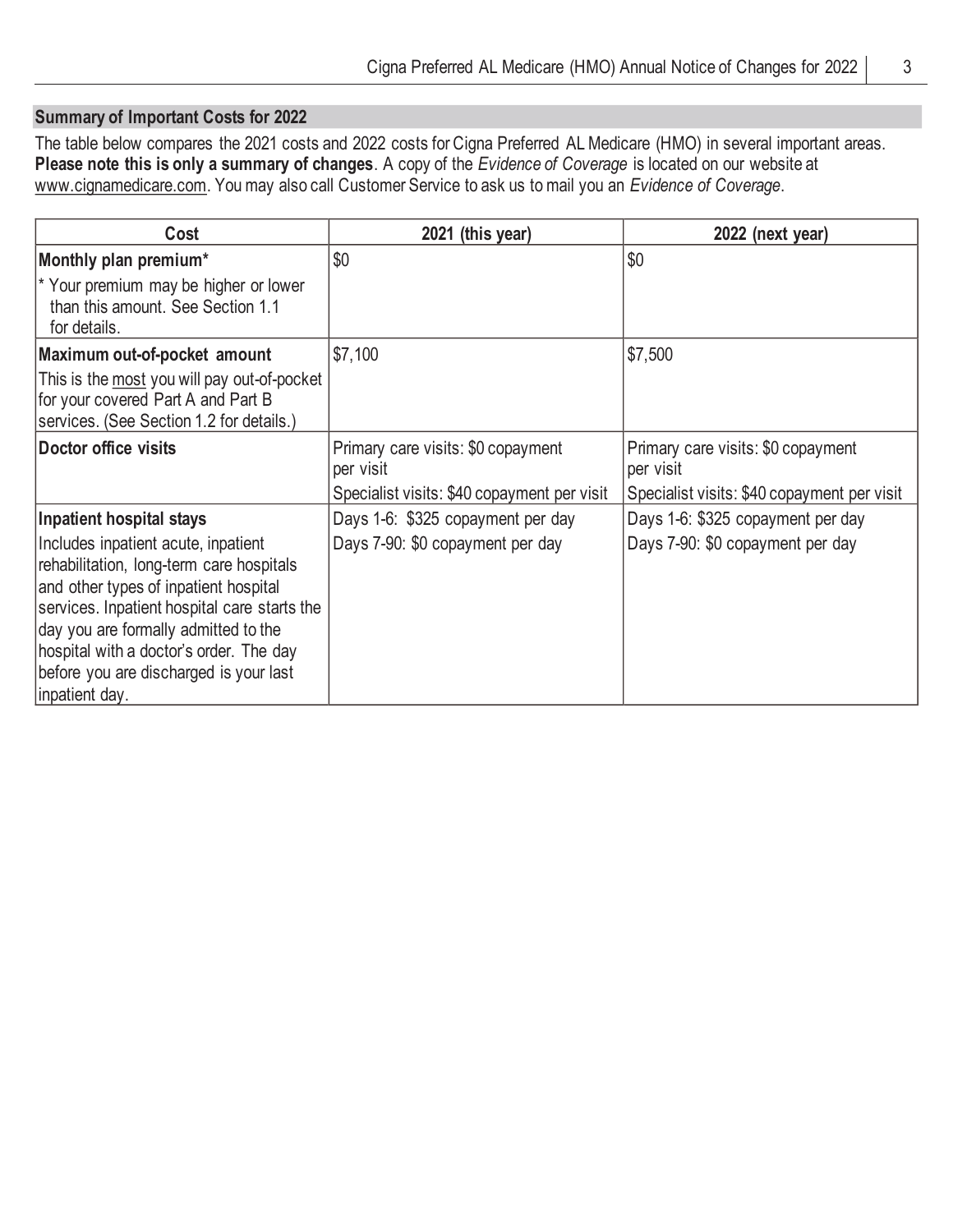## **Summary of Important Costs for 2022**

The table below compares the 2021 costs and 2022 costs for Cigna Preferred AL Medicare (HMO) in several important areas. **Please note this is only a summary of changes**. A copy of the *Evidence of Coverage* is located on our website at www.cignamedicare.com. You may also call Customer Service to ask us to mail you an *Evidence of Coverage*.

| Cost                                                                                                                                                                                                                                                                                                                                                | 2021 (this year)                                                      | 2022 (next year)                                                      |
|-----------------------------------------------------------------------------------------------------------------------------------------------------------------------------------------------------------------------------------------------------------------------------------------------------------------------------------------------------|-----------------------------------------------------------------------|-----------------------------------------------------------------------|
| Monthly plan premium*                                                                                                                                                                                                                                                                                                                               | \$0                                                                   | \$0                                                                   |
| * Your premium may be higher or lower<br>than this amount. See Section 1.1<br>for details.                                                                                                                                                                                                                                                          |                                                                       |                                                                       |
| Maximum out-of-pocket amount                                                                                                                                                                                                                                                                                                                        | \$7,100                                                               | \$7,500                                                               |
| This is the most you will pay out-of-pocket<br>for your covered Part A and Part B<br>services. (See Section 1.2 for details.)                                                                                                                                                                                                                       |                                                                       |                                                                       |
| Doctor office visits                                                                                                                                                                                                                                                                                                                                | Primary care visits: \$0 copayment<br>per visit                       | Primary care visits: \$0 copayment<br>per visit                       |
|                                                                                                                                                                                                                                                                                                                                                     | Specialist visits: \$40 copayment per visit                           | Specialist visits: \$40 copayment per visit                           |
| Inpatient hospital stays<br>Includes inpatient acute, inpatient<br>rehabilitation, long-term care hospitals<br>and other types of inpatient hospital<br>services. Inpatient hospital care starts the<br>day you are formally admitted to the<br>hospital with a doctor's order. The day<br>before you are discharged is your last<br>inpatient day. | Days 1-6: \$325 copayment per day<br>Days 7-90: \$0 copayment per day | Days 1-6: \$325 copayment per day<br>Days 7-90: \$0 copayment per day |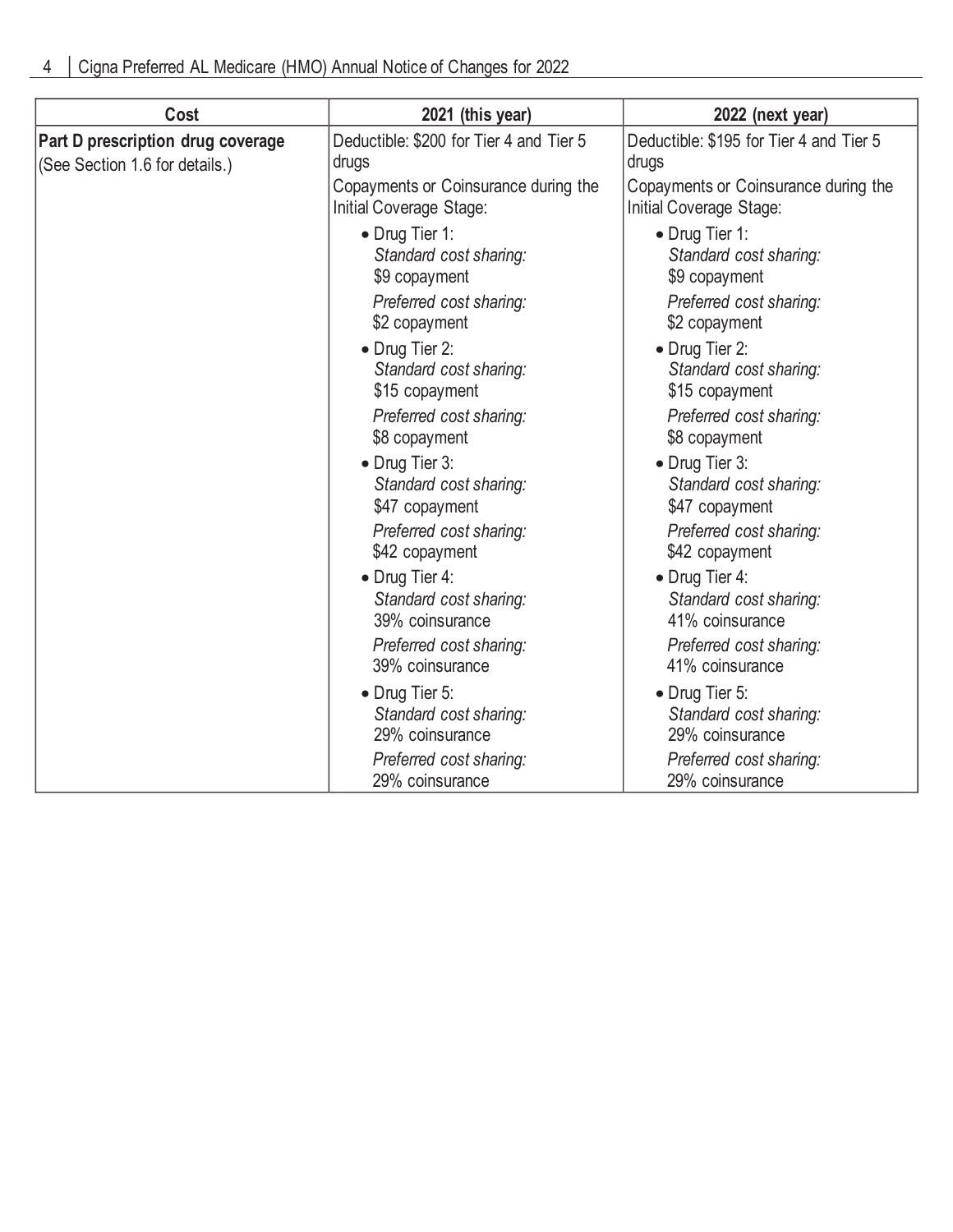| Cost                                                                | 2021 (this year)                                                | 2022 (next year)                                                |
|---------------------------------------------------------------------|-----------------------------------------------------------------|-----------------------------------------------------------------|
| Part D prescription drug coverage<br>(See Section 1.6 for details.) | Deductible: \$200 for Tier 4 and Tier 5<br>drugs                | Deductible: \$195 for Tier 4 and Tier 5<br>drugs                |
|                                                                     | Copayments or Coinsurance during the<br>Initial Coverage Stage: | Copayments or Coinsurance during the<br>Initial Coverage Stage: |
|                                                                     | • Drug Tier 1:<br>Standard cost sharing:<br>\$9 copayment       | • Drug Tier 1:<br>Standard cost sharing:<br>\$9 copayment       |
|                                                                     | Preferred cost sharing:<br>\$2 copayment                        | Preferred cost sharing:<br>\$2 copayment                        |
|                                                                     | • Drug Tier 2:<br>Standard cost sharing:<br>\$15 copayment      | • Drug Tier 2:<br>Standard cost sharing:<br>\$15 copayment      |
|                                                                     | Preferred cost sharing:<br>\$8 copayment                        | Preferred cost sharing:<br>\$8 copayment                        |
|                                                                     | • Drug Tier 3:<br>Standard cost sharing:<br>\$47 copayment      | • Drug Tier 3:<br>Standard cost sharing:<br>\$47 copayment      |
|                                                                     | Preferred cost sharing:<br>\$42 copayment                       | Preferred cost sharing:<br>\$42 copayment                       |
|                                                                     | • Drug Tier 4:<br>Standard cost sharing:<br>39% coinsurance     | • Drug Tier 4:<br>Standard cost sharing:<br>41% coinsurance     |
|                                                                     | Preferred cost sharing:<br>39% coinsurance                      | Preferred cost sharing:<br>41% coinsurance                      |
|                                                                     | • Drug Tier 5:<br>Standard cost sharing:<br>29% coinsurance     | • Drug Tier 5:<br>Standard cost sharing:<br>29% coinsurance     |
|                                                                     | Preferred cost sharing:<br>29% coinsurance                      | Preferred cost sharing:<br>29% coinsurance                      |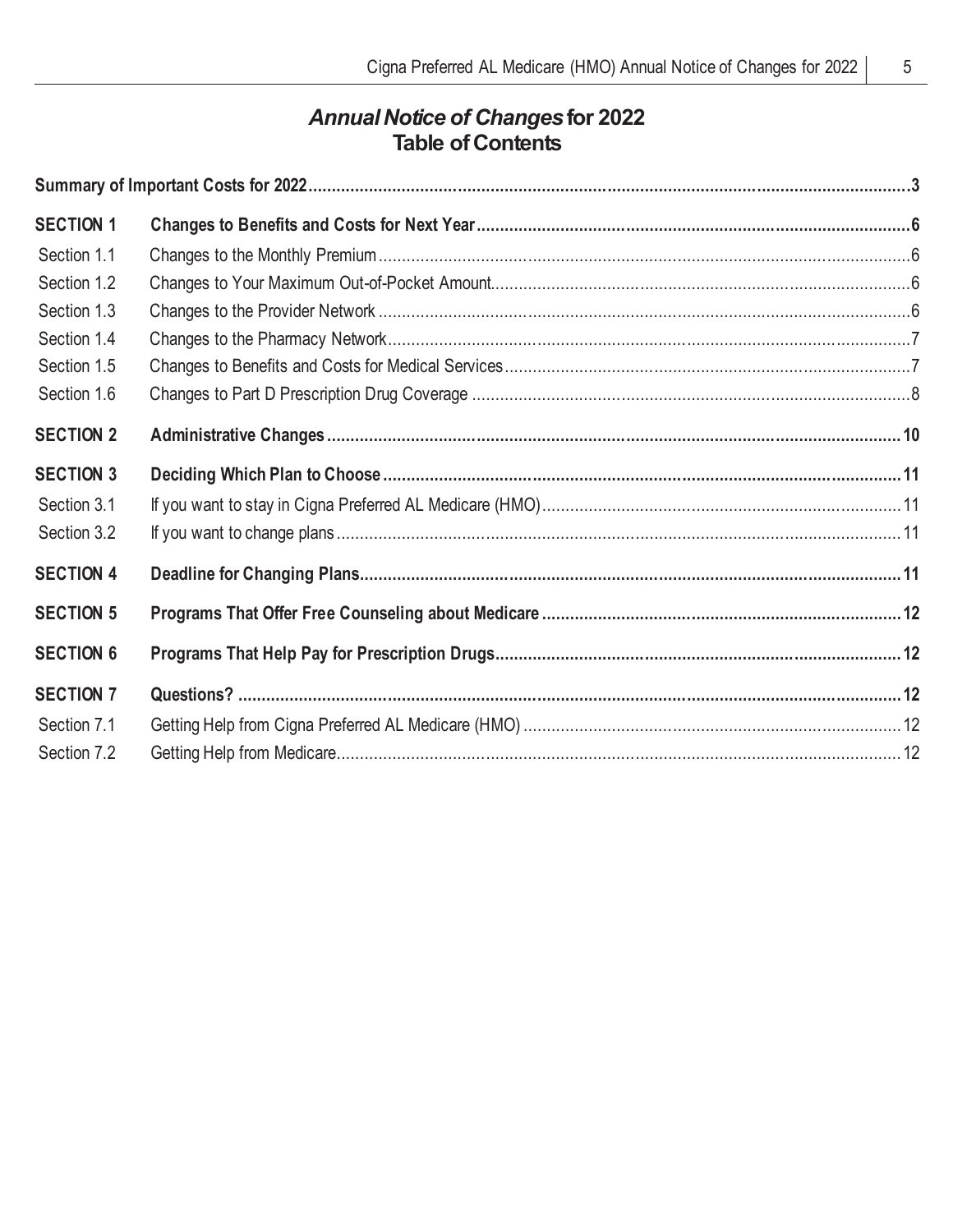# *Annual Notice of Changes***for 2022 Table of Contents**

| <b>SECTION 1</b> |  |  |
|------------------|--|--|
| Section 1.1      |  |  |
| Section 1.2      |  |  |
| Section 1.3      |  |  |
| Section 1.4      |  |  |
| Section 1.5      |  |  |
| Section 1.6      |  |  |
| <b>SECTION 2</b> |  |  |
| <b>SECTION 3</b> |  |  |
| Section 3.1      |  |  |
| Section 3.2      |  |  |
| <b>SECTION 4</b> |  |  |
| <b>SECTION 5</b> |  |  |
| <b>SECTION 6</b> |  |  |
| <b>SECTION 7</b> |  |  |
| Section 7.1      |  |  |
| Section 7.2      |  |  |
|                  |  |  |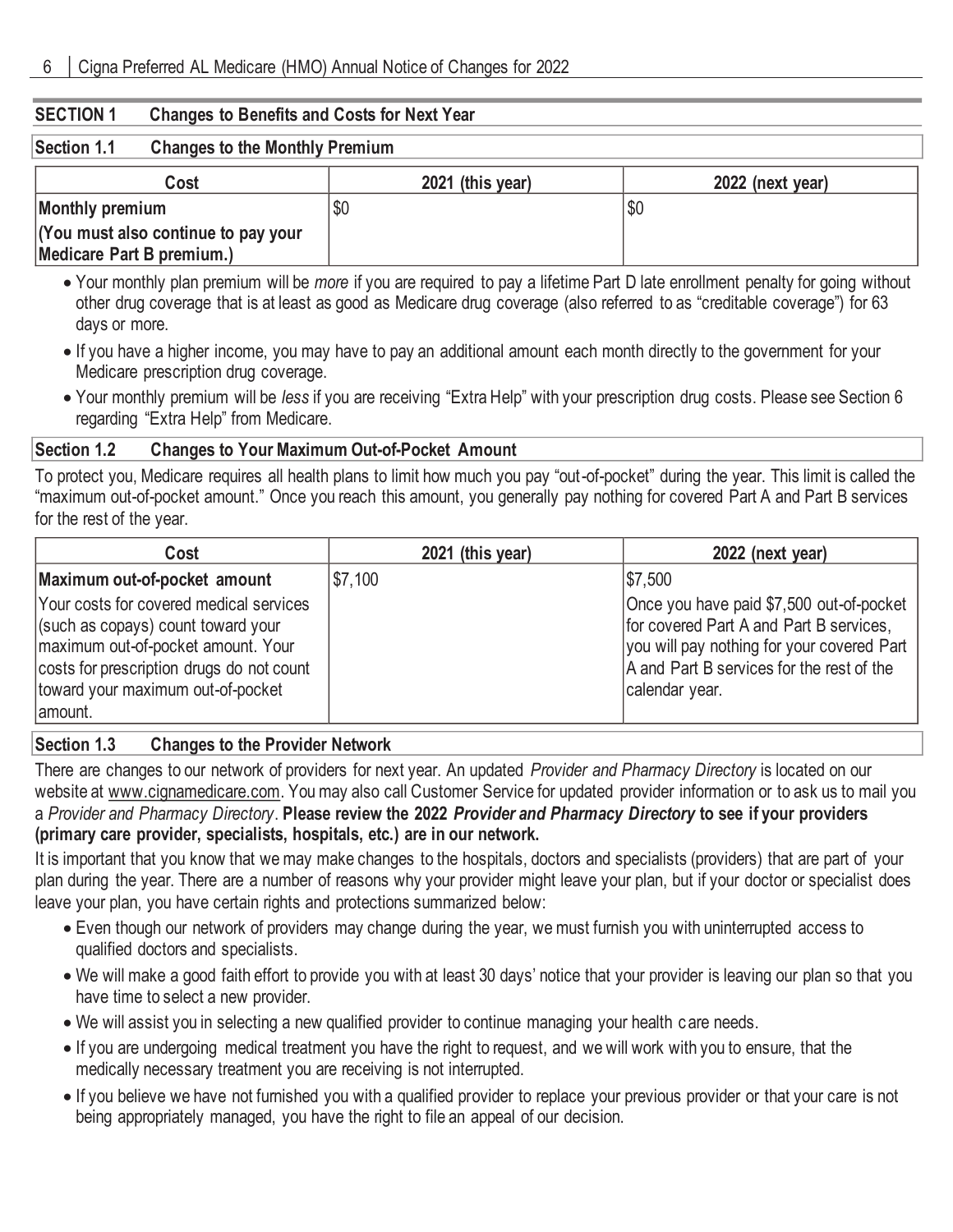#### **SECTION 1 Changes to Benefits and Costs for Next Year**

#### **Section 1.1 Changes to the Monthly Premium**

| Cost                                | 2021 (this year) | 2022 (next year) |
|-------------------------------------|------------------|------------------|
| Monthly premium                     |                  | \$0              |
| (You must also continue to pay your |                  |                  |
| Medicare Part B premium.)           |                  |                  |

• Your monthly plan premium will be *more* if you are required to pay a lifetime Part D late enrollment penalty for going without other drug coverage that is at least as good as Medicare drug coverage (also referred to as "creditable coverage") for 63 days or more.

- If you have a higher income, you may have to pay an additional amount each month directly to the government for your Medicare prescription drug coverage.
- Your monthly premium will be *less* if you are receiving "Extra Help" with your prescription drug costs. Please see Section 6 regarding "Extra Help" from Medicare.

#### **Section 1.2 Changes to Your Maximum Out-of-Pocket Amount**

To protect you, Medicare requires all health plans to limit how much you pay "out-of-pocket" during the year. This limit is called the "maximum out-of-pocket amount." Once you reach this amount, you generally pay nothing for covered Part A and Part B services for the rest of the year.

| Cost                                                                                                                                                                                                             | 2021 (this year) | 2022 (next year)                                                                                                                                                                                 |
|------------------------------------------------------------------------------------------------------------------------------------------------------------------------------------------------------------------|------------------|--------------------------------------------------------------------------------------------------------------------------------------------------------------------------------------------------|
| Maximum out-of-pocket amount                                                                                                                                                                                     | \$7,100          | \$7,500                                                                                                                                                                                          |
| Your costs for covered medical services<br>(such as copays) count toward your<br>maximum out-of-pocket amount. Your<br>costs for prescription drugs do not count<br>toward your maximum out-of-pocket<br>amount. |                  | Once you have paid \$7,500 out-of-pocket<br>for covered Part A and Part B services,<br>you will pay nothing for your covered Part<br>A and Part B services for the rest of the<br>calendar year. |

#### **Section 1.3 Changes to the Provider Network**

There are changes to our network of providers for next year. An updated *Provider and Pharmacy Directory* is located on our website at www.cignamedicare.com. You may also call Customer Service for updated provider information or to ask us to mail you a *Provider and Pharmacy Directory*. **Please review the 2022** *Provider and Pharmacy Directory* **to see if your providers (primary care provider, specialists, hospitals, etc.) are in our network.**

It is important that you know that we may make changes to the hospitals, doctors and specialists (providers) that are part of your plan during the year. There are a number of reasons why your provider might leave your plan, but if your doctor or specialist does leave your plan, you have certain rights and protections summarized below:

- Even though our network of providers may change during the year, we must furnish you with uninterrupted access to qualified doctors and specialists.
- We will make a good faith effort to provide you with at least 30 days' notice that your provider is leaving our plan so that you have time to select a new provider.
- We will assist you in selecting a new qualified provider to continue managing your health c are needs.
- If you are undergoing medical treatment you have the right to request, and we will work with you to ensure, that the medically necessary treatment you are receiving is not interrupted.
- If you believe we have not furnished you with a qualified provider to replace your previous provider or that your care is not being appropriately managed, you have the right to file an appeal of our decision.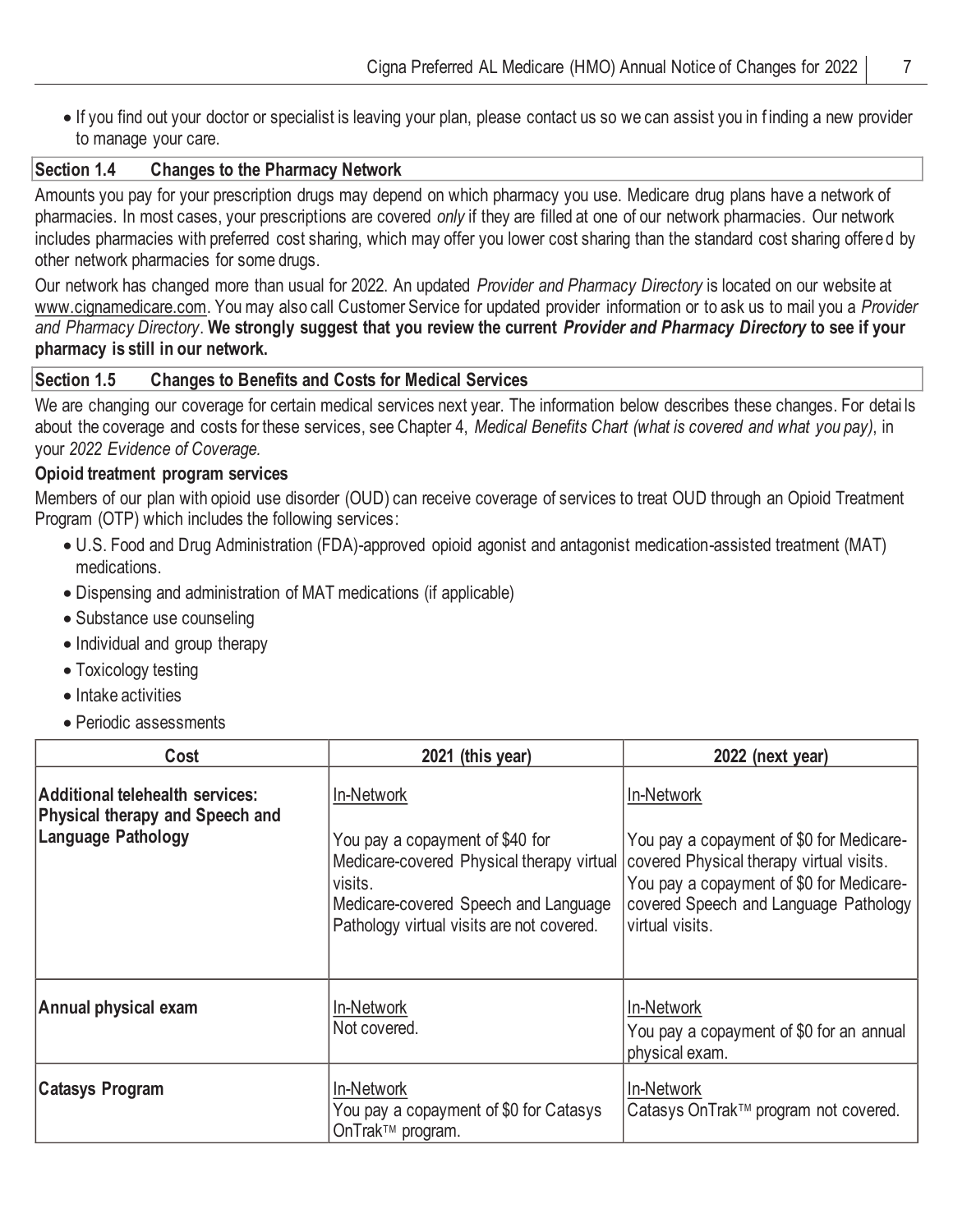• If you find out your doctor or specialist is leaving your plan, please contact us so we can assist you in f inding a new provider to manage your care.

#### **Section 1.4 Changes to the Pharmacy Network**

Amounts you pay for your prescription drugs may depend on which pharmacy you use. Medicare drug plans have a network of pharmacies. In most cases, your prescriptions are covered *only* if they are filled at one of our network pharmacies. Our network includes pharmacies with preferred cost sharing, which may offer you lower cost sharing than the standard cost sharing offered by other network pharmacies for some drugs.

Our network has changed more than usual for 2022. An updated *Provider and Pharmacy Directory* is located on our website at www.cignamedicare.com. You may also call Customer Service for updated provider information or to ask us to mail you a *Provider and Pharmacy Directory*. **We strongly suggest that you review the current** *Provider and Pharmacy Directory* **to see if your pharmacy is still in our network.**

## **Section 1.5 Changes to Benefits and Costs for Medical Services**

We are changing our coverage for certain medical services next year. The information below describes these changes. For detai ls about the coverage and costs for these services, see Chapter 4, *Medical Benefits Chart (what is covered and what you pay)*, in your *2022 Evidence of Coverage.*

#### **Opioid treatment program services**

Members of our plan with opioid use disorder (OUD) can receive coverage of services to treat OUD through an Opioid Treatment Program (OTP) which includes the following services:

- U.S. Food and Drug Administration (FDA)-approved opioid agonist and antagonist medication-assisted treatment (MAT) medications.
- Dispensing and administration of MAT medications (if applicable)
- Substance use counseling
- Individual and group therapy
- Toxicology testing
- Intake activities
- Periodic assessments

| Cost                                                                                                   | 2021 (this year)                                                                                                                                                                           | 2022 (next year)                                                                                                                                                                                           |
|--------------------------------------------------------------------------------------------------------|--------------------------------------------------------------------------------------------------------------------------------------------------------------------------------------------|------------------------------------------------------------------------------------------------------------------------------------------------------------------------------------------------------------|
| Additional telehealth services:<br><b>Physical therapy and Speech and</b><br><b>Language Pathology</b> | In-Network<br>You pay a copayment of \$40 for<br>Medicare-covered Physical therapy virtual<br>visits.<br>Medicare-covered Speech and Language<br>Pathology virtual visits are not covered. | In-Network<br>You pay a copayment of \$0 for Medicare-<br>covered Physical therapy virtual visits.<br>You pay a copayment of \$0 for Medicare-<br>covered Speech and Language Pathology<br>virtual visits. |
| Annual physical exam                                                                                   | In-Network<br>Not covered.                                                                                                                                                                 | In-Network<br>You pay a copayment of \$0 for an annual<br>physical exam.                                                                                                                                   |
| <b>Catasys Program</b>                                                                                 | In-Network<br>You pay a copayment of \$0 for Catasys<br>OnTrak <sup>™</sup> program.                                                                                                       | In-Network<br>Catasys OnTrak™ program not covered.                                                                                                                                                         |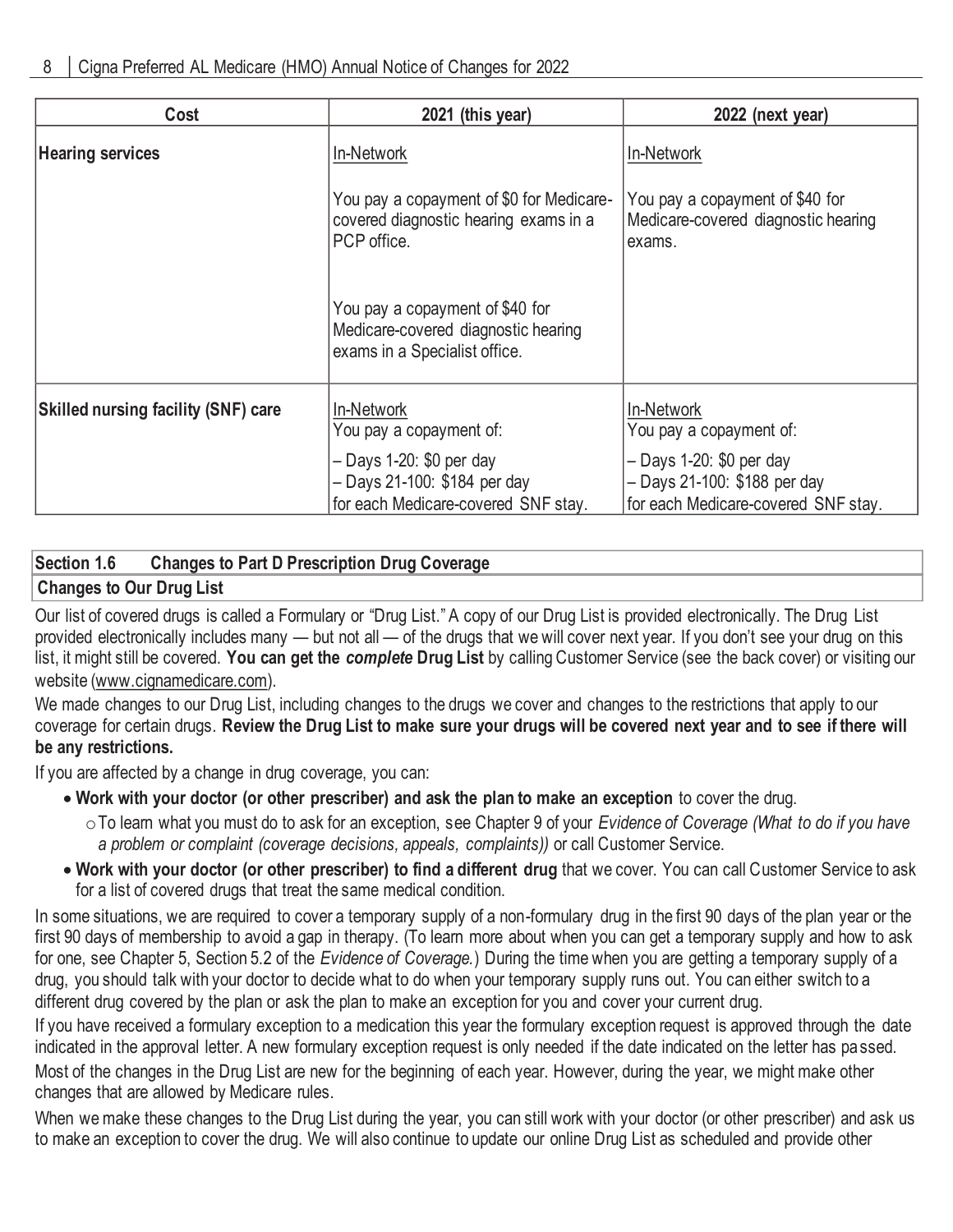| Cost                                       | 2021 (this year)                                                                                        | 2022 (next year)                                                                                  |
|--------------------------------------------|---------------------------------------------------------------------------------------------------------|---------------------------------------------------------------------------------------------------|
| <b>Hearing services</b>                    | In-Network                                                                                              | In-Network                                                                                        |
|                                            | You pay a copayment of \$0 for Medicare-<br>covered diagnostic hearing exams in a<br>PCP office.        | You pay a copayment of \$40 for<br>Medicare-covered diagnostic hearing<br>exams.                  |
|                                            | You pay a copayment of \$40 for<br>Medicare-covered diagnostic hearing<br>exams in a Specialist office. |                                                                                                   |
| <b>Skilled nursing facility (SNF) care</b> | In-Network<br>You pay a copayment of:                                                                   | In-Network<br>You pay a copayment of:                                                             |
|                                            | - Days 1-20: \$0 per day<br>- Days 21-100: \$184 per day<br>for each Medicare-covered SNF stay.         | $-$ Days 1-20: \$0 per day<br>- Days 21-100: \$188 per day<br>for each Medicare-covered SNF stay. |

# **Section 1.6 Changes to Part D Prescription Drug Coverage**

## **Changes to Our Drug List**

Our list of covered drugs is called a Formulary or "Drug List." A copy of our Drug List is provided electronically. The Drug List provided electronically includes many — but not all — of the drugs that we will cover next year. If you don't see your drug on this list, it might still be covered. **You can get the** *complete* **Drug List** by calling Customer Service (see the back cover) or visiting our website (www.cignamedicare.com).

We made changes to our Drug List, including changes to the drugs we cover and changes to the restrictions that apply to our coverage for certain drugs. **Review the Drug List to make sure your drugs will be covered next year and to see if there will be any restrictions.**

If you are affected by a change in drug coverage, you can:

- **Work with your doctor (or other prescriber) and ask the plan to make an exception** to cover the drug.
	- oTo learn what you must do to ask for an exception, see Chapter 9 of your *Evidence of Coverage (What to do if you have a problem or complaint (coverage decisions, appeals, complaints))* or call Customer Service.
- **Work with your doctor (or other prescriber) to find a different drug** that we cover. You can call Customer Service to ask for a list of covered drugs that treat the same medical condition.

In some situations, we are required to cover a temporary supply of a non-formulary drug in the first 90 days of the plan year or the first 90 days of membership to avoid a gap in therapy. (To learn more about when you can get a temporary supply and how to ask for one, see Chapter 5, Section 5.2 of the *Evidence of Coverage.*) During the time when you are getting a temporary supply of a drug, you should talk with your doctor to decide what to do when your temporary supply runs out. You can either switch to a different drug covered by the plan or ask the plan to make an exception for you and cover your current drug.

If you have received a formulary exception to a medication this year the formulary exception request is approved through the date indicated in the approval letter. A new formulary exception request is only needed if the date indicated on the letter has passed. Most of the changes in the Drug List are new for the beginning of each year. However, during the year, we might make other changes that are allowed by Medicare rules.

When we make these changes to the Drug List during the year, you can still work with your doctor (or other prescriber) and ask us to make an exception to cover the drug. We will also continue to update our online Drug List as scheduled and provide other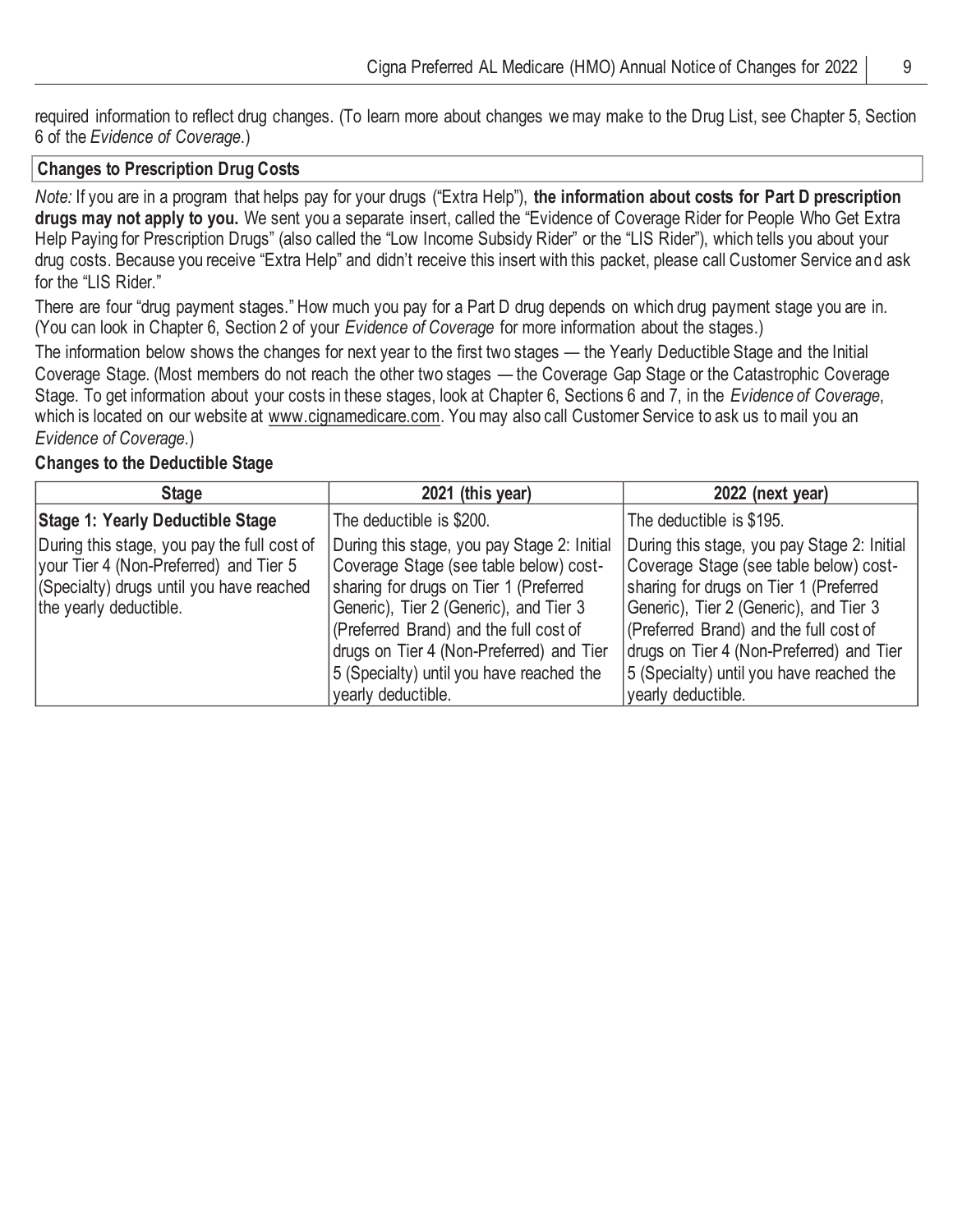required information to reflect drug changes. (To learn more about changes we may make to the Drug List, see Chapter 5, Section 6 of the *Evidence of Coverage*.)

#### **Changes to Prescription Drug Costs**

*Note:* If you are in a program that helps pay for your drugs ("Extra Help"), **the information about costs for Part D prescription drugs may not apply to you.** We sent you a separate insert, called the "Evidence of Coverage Rider for People Who Get Extra Help Paying for Prescription Drugs" (also called the "Low Income Subsidy Rider" or the "LIS Rider"), which tells you about your drug costs. Because you receive "Extra Help" and didn't receive this insert with this packet, please call Customer Service and ask for the "LIS Rider."

There are four "drug payment stages." How much you pay for a Part D drug depends on which drug payment stage you are in. (You can look in Chapter 6, Section 2 of your *Evidence of Coverage* for more information about the stages.)

The information below shows the changes for next year to the first two stages — the Yearly Deductible Stage and the Initial Coverage Stage. (Most members do not reach the other two stages — the Coverage Gap Stage or the Catastrophic Coverage Stage. To get information about your costs in these stages, look at Chapter 6, Sections 6 and 7, in the *Evidence of Coverage*, which is located on our website at www.cignamedicare.com. You may also call Customer Service to ask us to mail you an *Evidence of Coverage*.)

#### **Changes to the Deductible Stage**

| <b>Stage</b>                                                                                                                                                | 2021 (this year)                                                                                                                                                                                                                                                                                                                  | 2022 (next year)                                                                                                                                                                                                                                                                                                                  |
|-------------------------------------------------------------------------------------------------------------------------------------------------------------|-----------------------------------------------------------------------------------------------------------------------------------------------------------------------------------------------------------------------------------------------------------------------------------------------------------------------------------|-----------------------------------------------------------------------------------------------------------------------------------------------------------------------------------------------------------------------------------------------------------------------------------------------------------------------------------|
| <b>Stage 1: Yearly Deductible Stage</b>                                                                                                                     | The deductible is \$200.                                                                                                                                                                                                                                                                                                          | The deductible is \$195.                                                                                                                                                                                                                                                                                                          |
| During this stage, you pay the full cost of<br>your Tier 4 (Non-Preferred) and Tier 5<br>(Specialty) drugs until you have reached<br>the yearly deductible. | During this stage, you pay Stage 2: Initial<br>Coverage Stage (see table below) cost-<br>sharing for drugs on Tier 1 (Preferred<br>Generic), Tier 2 (Generic), and Tier 3<br>(Preferred Brand) and the full cost of<br>drugs on Tier 4 (Non-Preferred) and Tier<br>5 (Specialty) until you have reached the<br>yearly deductible. | During this stage, you pay Stage 2: Initial<br>Coverage Stage (see table below) cost-<br>sharing for drugs on Tier 1 (Preferred<br>Generic), Tier 2 (Generic), and Tier 3<br>(Preferred Brand) and the full cost of<br>drugs on Tier 4 (Non-Preferred) and Tier<br>5 (Specialty) until you have reached the<br>yearly deductible. |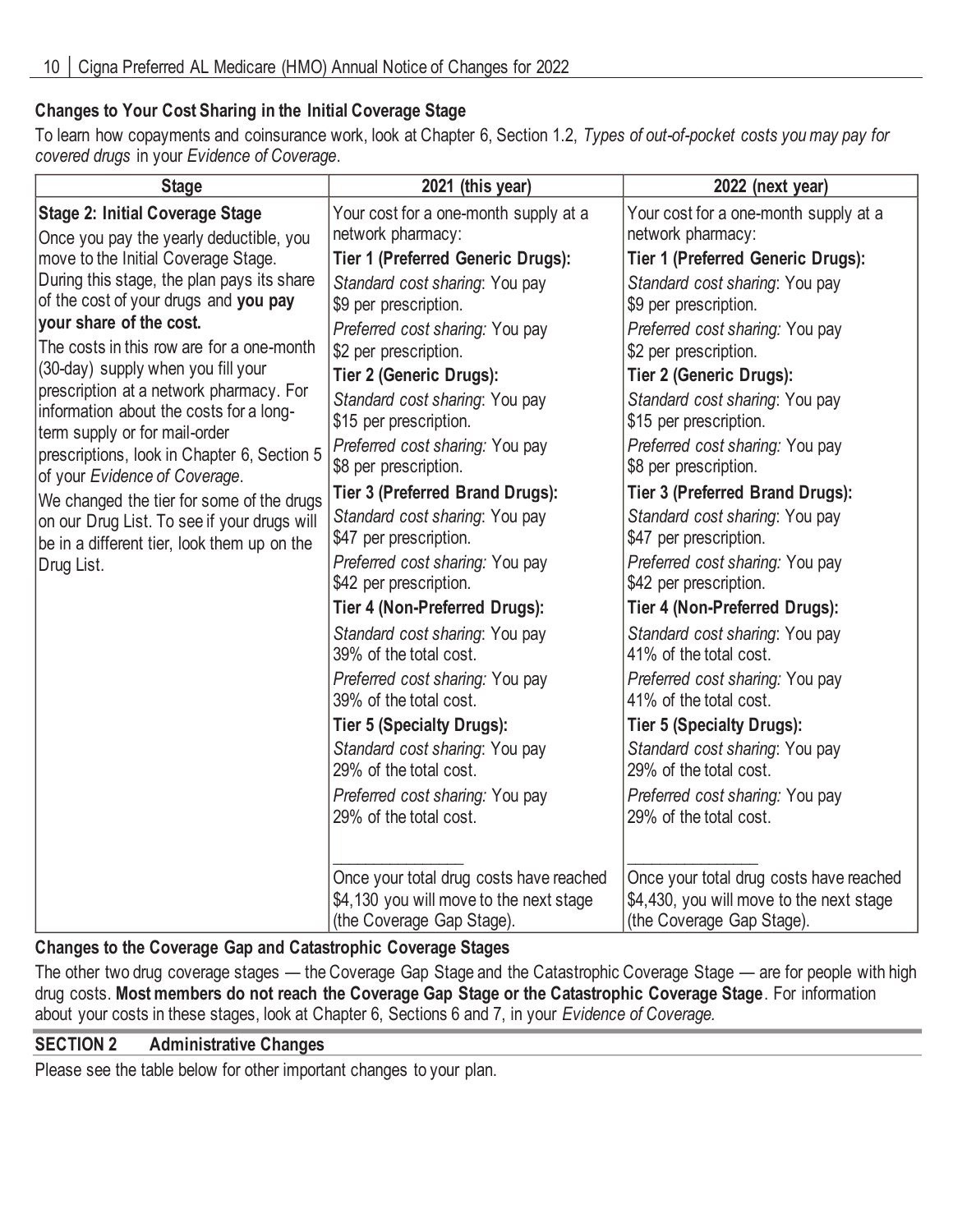## **Changes to Your Cost Sharing in the Initial Coverage Stage**

To learn how copayments and coinsurance work, look at Chapter 6, Section 1.2, *Types of out-of-pocket costs you may pay for covered drugs* in your *Evidence of Coverage*.

| <b>Stage</b>                                                                                                        | 2021 (this year)                                                                                                | 2022 (next year)                                                                                                 |
|---------------------------------------------------------------------------------------------------------------------|-----------------------------------------------------------------------------------------------------------------|------------------------------------------------------------------------------------------------------------------|
| <b>Stage 2: Initial Coverage Stage</b><br>Once you pay the yearly deductible, you                                   | Your cost for a one-month supply at a<br>network pharmacy:                                                      | Your cost for a one-month supply at a<br>network pharmacy:                                                       |
| move to the Initial Coverage Stage.                                                                                 | <b>Tier 1 (Preferred Generic Drugs):</b>                                                                        | <b>Tier 1 (Preferred Generic Drugs):</b>                                                                         |
| During this stage, the plan pays its share<br>of the cost of your drugs and you pay                                 | Standard cost sharing: You pay<br>\$9 per prescription.                                                         | Standard cost sharing: You pay<br>\$9 per prescription.                                                          |
| your share of the cost.<br>The costs in this row are for a one-month                                                | Preferred cost sharing: You pay<br>\$2 per prescription.                                                        | Preferred cost sharing: You pay<br>\$2 per prescription.                                                         |
| (30-day) supply when you fill your                                                                                  | <b>Tier 2 (Generic Drugs):</b>                                                                                  | <b>Tier 2 (Generic Drugs):</b>                                                                                   |
| prescription at a network pharmacy. For<br>information about the costs for a long-<br>term supply or for mail-order | Standard cost sharing: You pay<br>\$15 per prescription.                                                        | Standard cost sharing: You pay<br>\$15 per prescription.                                                         |
| prescriptions, look in Chapter 6, Section 5<br>of your Evidence of Coverage.                                        | Preferred cost sharing: You pay<br>\$8 per prescription.                                                        | Preferred cost sharing: You pay<br>\$8 per prescription.                                                         |
| We changed the tier for some of the drugs                                                                           | Tier 3 (Preferred Brand Drugs):                                                                                 | Tier 3 (Preferred Brand Drugs):                                                                                  |
| on our Drug List. To see if your drugs will<br>be in a different tier, look them up on the                          | Standard cost sharing: You pay<br>\$47 per prescription.                                                        | Standard cost sharing: You pay<br>\$47 per prescription.                                                         |
| Drug List.                                                                                                          | Preferred cost sharing: You pay<br>\$42 per prescription.                                                       | Preferred cost sharing: You pay<br>\$42 per prescription.                                                        |
|                                                                                                                     | Tier 4 (Non-Preferred Drugs):                                                                                   | Tier 4 (Non-Preferred Drugs):                                                                                    |
|                                                                                                                     | Standard cost sharing: You pay<br>39% of the total cost.                                                        | Standard cost sharing: You pay<br>41% of the total cost.                                                         |
|                                                                                                                     | Preferred cost sharing: You pay<br>39% of the total cost.                                                       | Preferred cost sharing: You pay<br>41% of the total cost.                                                        |
|                                                                                                                     | <b>Tier 5 (Specialty Drugs):</b>                                                                                | Tier 5 (Specialty Drugs):                                                                                        |
|                                                                                                                     | Standard cost sharing: You pay<br>29% of the total cost.                                                        | Standard cost sharing: You pay<br>29% of the total cost.                                                         |
|                                                                                                                     | Preferred cost sharing: You pay<br>29% of the total cost.                                                       | Preferred cost sharing: You pay<br>29% of the total cost.                                                        |
|                                                                                                                     | Once your total drug costs have reached<br>\$4,130 you will move to the next stage<br>(the Coverage Gap Stage). | Once your total drug costs have reached<br>\$4,430, you will move to the next stage<br>(the Coverage Gap Stage). |

## **Changes to the Coverage Gap and Catastrophic Coverage Stages**

The other two drug coverage stages — the Coverage Gap Stage and the Catastrophic Coverage Stage — are for people with high drug costs. **Most members do not reach the Coverage Gap Stage or the Catastrophic Coverage Stage**. For information about your costs in these stages, look at Chapter 6, Sections 6 and 7, in your *Evidence of Coverage.*

## **SECTION 2 Administrative Changes**

Please see the table below for other important changes to your plan.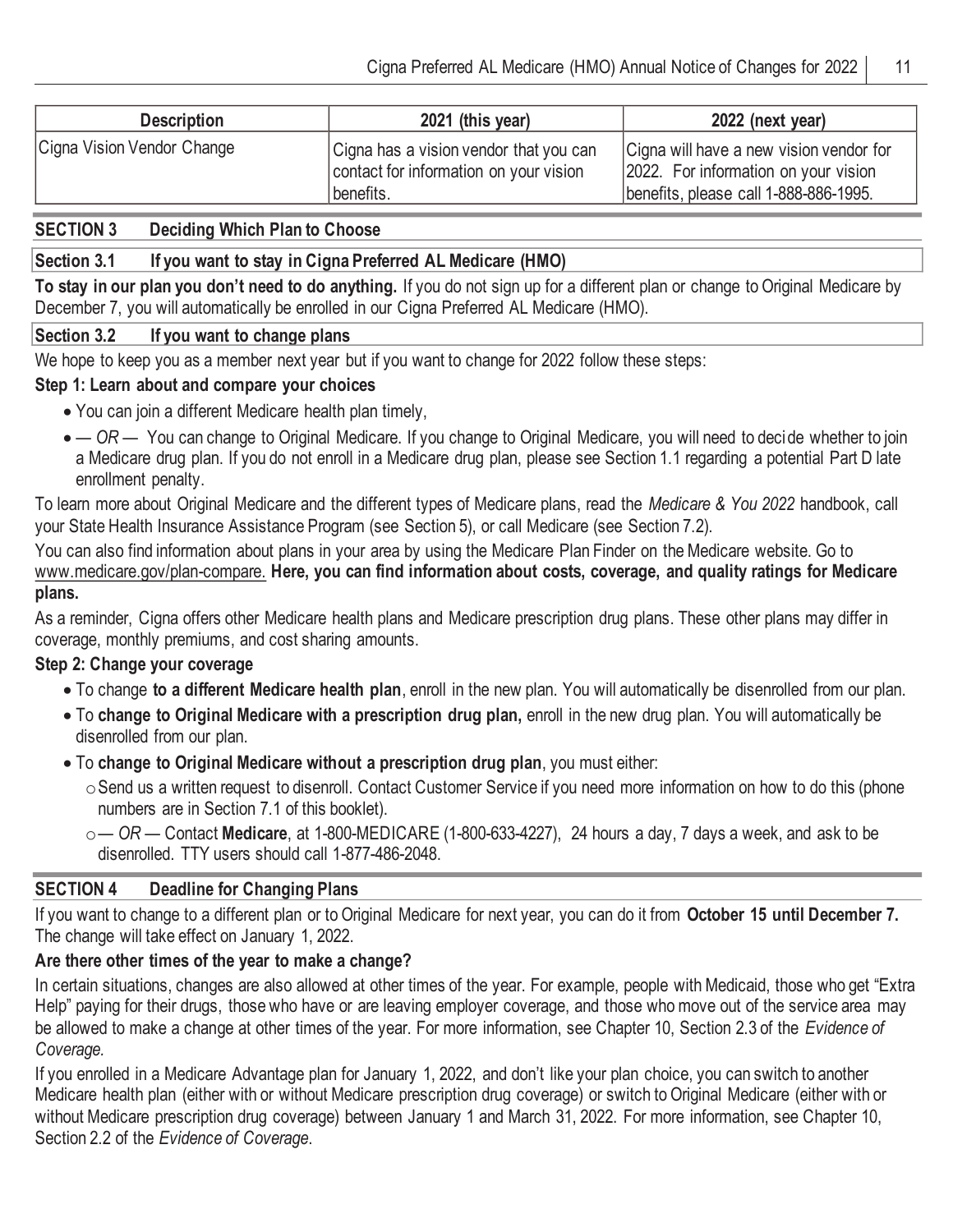| <b>Description</b>         | 2021 (this year)                                                                              | 2022 (next year)                                                                                                         |
|----------------------------|-----------------------------------------------------------------------------------------------|--------------------------------------------------------------------------------------------------------------------------|
| Cigna Vision Vendor Change | Cigna has a vision vendor that you can<br>contact for information on your vision<br>benefits. | Cigna will have a new vision vendor for<br>2022. For information on your vision<br>benefits, please call 1-888-886-1995. |

#### **SECTION 3 Deciding Which Plan to Choose**

## **Section 3.1 If you want to stay in Cigna Preferred AL Medicare (HMO)**

**To stay in our plan you don't need to do anything.** If you do not sign up for a different plan or change to Original Medicare by December 7, you will automatically be enrolled in our Cigna Preferred AL Medicare (HMO).

#### **Section 3.2 If you want to change plans**

We hope to keep you as a member next year but if you want to change for 2022 follow these steps:

#### **Step 1: Learn about and compare your choices**

- You can join a different Medicare health plan timely,
- — OR You can change to Original Medicare. If you change to Original Medicare, you will need to decide whether to join a Medicare drug plan. If you do not enroll in a Medicare drug plan, please see Section 1.1 regarding a potential Part D late enrollment penalty.

To learn more about Original Medicare and the different types of Medicare plans, read the *Medicare & You 2022* handbook, call your State Health Insurance Assistance Program (see Section 5), or call Medicare (see Section 7.2).

You can also find information about plans in your area by using the Medicare Plan Finder on the Medicare website. Go to www.medicare.gov/plan-compare. **Here, you can find information about costs, coverage, and quality ratings for Medicare plans.**

As a reminder, Cigna offers other Medicare health plans and Medicare prescription drug plans. These other plans may differ in coverage, monthly premiums, and cost sharing amounts.

## **Step 2: Change your coverage**

- To change **to a different Medicare health plan**, enroll in the new plan. You will automatically be disenrolled from our plan.
- To **change to Original Medicare with a prescription drug plan,** enroll in the new drug plan. You will automatically be disenrolled from our plan.
- To **change to Original Medicare without a prescription drug plan**, you must either:
	- oSend us a written request to disenroll. Contact Customer Service if you need more information on how to do this (phone numbers are in Section 7.1 of this booklet).
	- o*— OR —* Contact **Medicare**, at 1-800-MEDICARE (1-800-633-4227), 24 hours a day, 7 days a week, and ask to be disenrolled. TTY users should call 1-877-486-2048.

#### **SECTION 4 Deadline for Changing Plans**

If you want to change to a different plan or to Original Medicare for next year, you can do it from **October 15 until December 7.**  The change will take effect on January 1, 2022.

## **Are there other times of the year to make a change?**

In certain situations, changes are also allowed at other times of the year. For example, people with Medicaid, those who get "Extra Help" paying for their drugs, those who have or are leaving employer coverage, and those who move out of the service area may be allowed to make a change at other times of the year. For more information, see Chapter 10, Section 2.3 of the *Evidence of Coverage.*

If you enrolled in a Medicare Advantage plan for January 1, 2022, and don't like your plan choice, you can switch to another Medicare health plan (either with or without Medicare prescription drug coverage) or switch to Original Medicare (either with or without Medicare prescription drug coverage) between January 1 and March 31, 2022. For more information, see Chapter 10, Section 2.2 of the *Evidence of Coverage*.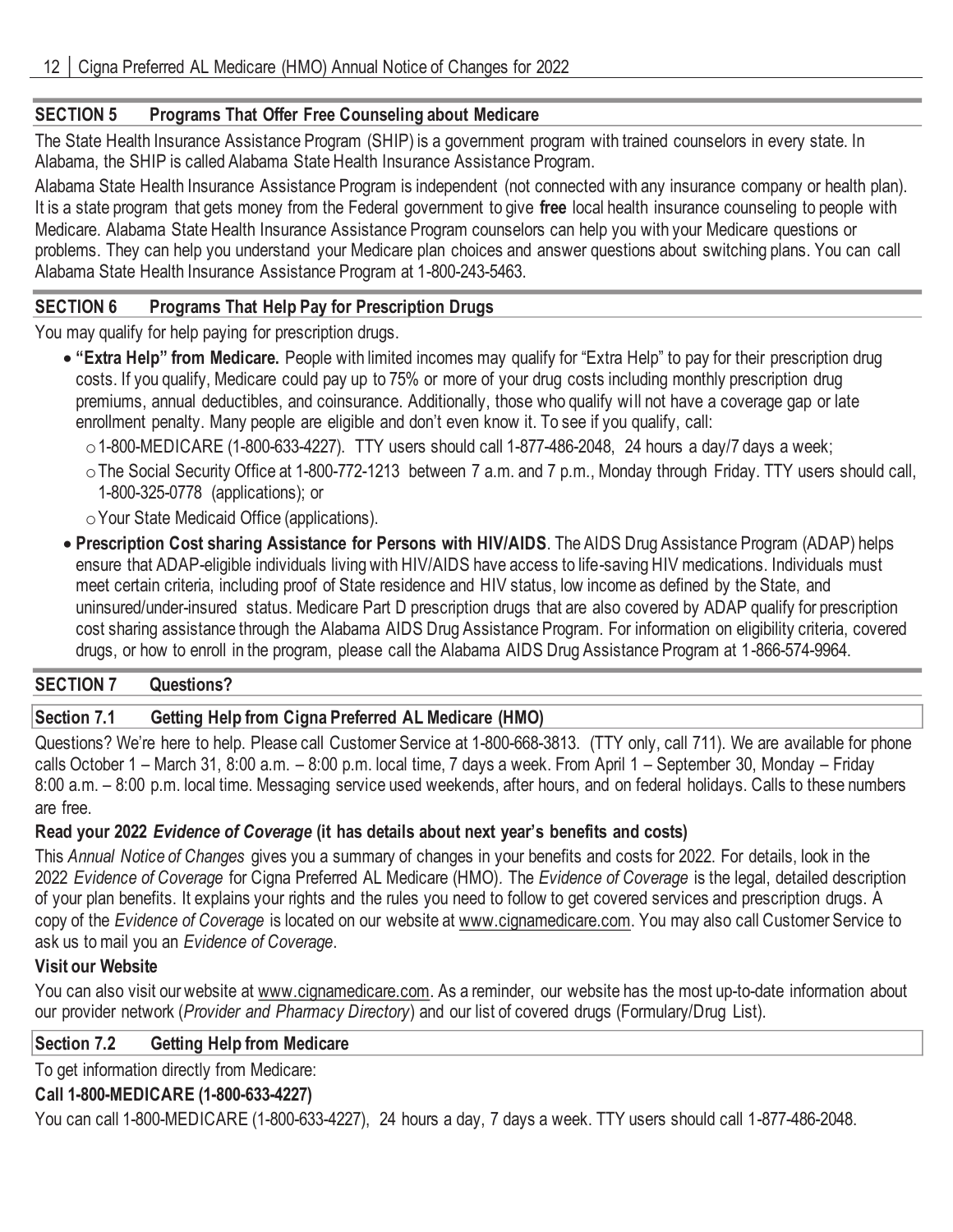## **SECTION 5 Programs That Offer Free Counseling about Medicare**

The State Health Insurance Assistance Program (SHIP) is a government program with trained counselors in every state. In Alabama, the SHIP is called Alabama State Health Insurance Assistance Program.

Alabama State Health Insurance Assistance Program is independent (not connected with any insurance company or health plan). It is a state program that gets money from the Federal government to give **free** local health insurance counseling to people with Medicare. Alabama State Health Insurance Assistance Program counselors can help you with your Medicare questions or problems. They can help you understand your Medicare plan choices and answer questions about switching plans. You can call Alabama State Health Insurance Assistance Program at 1-800-243-5463.

## **SECTION 6 Programs That Help Pay for Prescription Drugs**

You may qualify for help paying for prescription drugs.

- **"Extra Help" from Medicare.** People with limited incomes may qualify for "Extra Help" to pay for their prescription drug costs. If you qualify, Medicare could pay up to 75% or more of your drug costs including monthly prescription drug premiums, annual deductibles, and coinsurance. Additionally, those who qualify wi ll not have a coverage gap or late enrollment penalty. Many people are eligible and don't even know it. To see if you qualify, call:
	- $\circ$  1-800-MEDICARE (1-800-633-4227). TTY users should call 1-877-486-2048, 24 hours a day/7 days a week;
	- oThe Social Security Office at 1-800-772-1213 between 7 a.m. and 7 p.m., Monday through Friday. TTY users should call, 1-800-325-0778 (applications); or

oYour State Medicaid Office (applications).

• **Prescription Cost sharing Assistance for Persons with HIV/AIDS**. The AIDS Drug Assistance Program (ADAP) helps ensure that ADAP-eligible individuals living with HIV/AIDS have access to life-saving HIV medications. Individuals must meet certain criteria, including proof of State residence and HIV status, low income as defined by the State, and uninsured/under-insured status. Medicare Part D prescription drugs that are also covered by ADAP qualify for prescription cost sharing assistance through the Alabama AIDS Drug Assistance Program. For information on eligibility criteria, covered drugs, or how to enroll in the program, please call the Alabama AIDS Drug Assistance Program at 1-866-574-9964.

#### **SECTION 7 Questions?**

## **Section 7.1 Getting Help from Cigna Preferred AL Medicare (HMO)**

Questions? We're here to help. Please call Customer Service at 1-800-668-3813. (TTY only, call 711). We are available for phone calls October 1 – March 31, 8:00 a.m. – 8:00 p.m. local time, 7 days a week. From April 1 – September 30, Monday – Friday 8:00 a.m. – 8:00 p.m. local time. Messaging service used weekends, after hours, and on federal holidays. Calls to these numbers are free.

## **Read your 2022** *Evidence of Coverage* **(it has details about next year's benefits and costs)**

This *Annual Notice of Changes* gives you a summary of changes in your benefits and costs for 2022. For details, look in the 2022 *Evidence of Coverage* for Cigna Preferred AL Medicare (HMO)*.* The *Evidence of Coverage* is the legal, detailed description of your plan benefits. It explains your rights and the rules you need to follow to get covered services and prescription drugs. A copy of the *Evidence of Coverage* is located on our website at www.cignamedicare.com. You may also call Customer Service to ask us to mail you an *Evidence of Coverage*.

## **Visit our Website**

You can also visit our website at www.cignamedicare.com. As a reminder, our website has the most up-to-date information about our provider network (*Provider and Pharmacy Directory*) and our list of covered drugs (Formulary/Drug List).

#### **Section 7.2 Getting Help from Medicare**

To get information directly from Medicare:

## **Call 1-800-MEDICARE (1-800-633-4227)**

You can call 1-800-MEDICARE (1-800-633-4227), 24 hours a day, 7 days a week. TTY users should call 1-877-486-2048.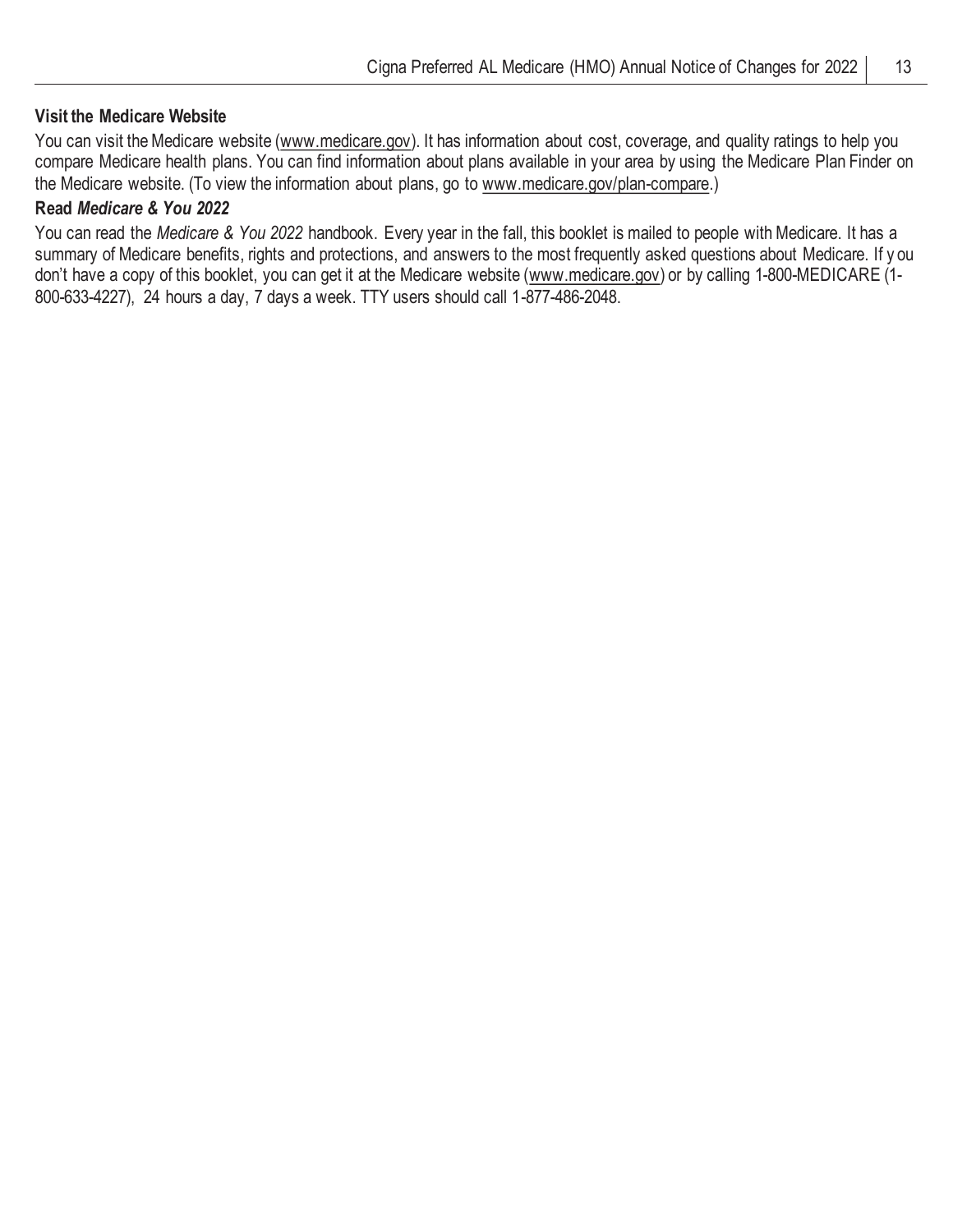#### **Visit the Medicare Website**

You can visit the Medicare website (www.medicare.gov). It has information about cost, coverage, and quality ratings to help you compare Medicare health plans. You can find information about plans available in your area by using the Medicare Plan Finder on the Medicare website. (To view the information about plans, go to www.medicare.gov/plan-compare.)

## **Read** *Medicare & You 2022*

You can read the *Medicare & You 2022* handbook. Every year in the fall, this booklet is mailed to people with Medicare. It has a summary of Medicare benefits, rights and protections, and answers to the most frequently asked questions about Medicare. If y ou don't have a copy of this booklet, you can get it at the Medicare website (www.medicare.gov) or by calling 1-800-MEDICARE (1- 800-633-4227), 24 hours a day, 7 days a week. TTY users should call 1-877-486-2048.